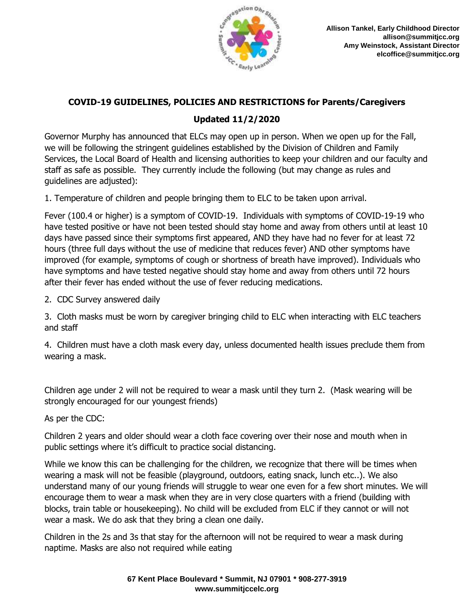

## **COVID-19 GUIDELINES, POLICIES AND RESTRICTIONS for Parents/Caregivers**

## **Updated 11/2/2020**

Governor Murphy has announced that ELCs may open up in person. When we open up for the Fall, we will be following the stringent guidelines established by the Division of Children and Family Services, the Local Board of Health and licensing authorities to keep your children and our faculty and staff as safe as possible. They currently include the following (but may change as rules and guidelines are adjusted):

1. Temperature of children and people bringing them to ELC to be taken upon arrival.

Fever (100.4 or higher) is a symptom of COVID-19. Individuals with symptoms of COVID-19-19 who have tested positive or have not been tested should stay home and away from others until at least 10 days have passed since their symptoms first appeared, AND they have had no fever for at least 72 hours (three full days without the use of medicine that reduces fever) AND other symptoms have improved (for example, symptoms of cough or shortness of breath have improved). Individuals who have symptoms and have tested negative should stay home and away from others until 72 hours after their fever has ended without the use of fever reducing medications.

2. CDC Survey answered daily

3. Cloth masks must be worn by caregiver bringing child to ELC when interacting with ELC teachers and staff

4. Children must have a cloth mask every day, unless documented health issues preclude them from wearing a mask.

Children age under 2 will not be required to wear a mask until they turn 2. (Mask wearing will be strongly encouraged for our youngest friends)

As per the CDC:

Children 2 years and older should wear a cloth face covering over their nose and mouth when in public settings where it's difficult to practice social distancing.

While we know this can be challenging for the children, we recognize that there will be times when wearing a mask will not be feasible (playground, outdoors, eating snack, lunch etc..). We also understand many of our young friends will struggle to wear one even for a few short minutes. We will encourage them to wear a mask when they are in very close quarters with a friend (building with blocks, train table or housekeeping). No child will be excluded from ELC if they cannot or will not wear a mask. We do ask that they bring a clean one daily.

Children in the 2s and 3s that stay for the afternoon will not be required to wear a mask during naptime. Masks are also not required while eating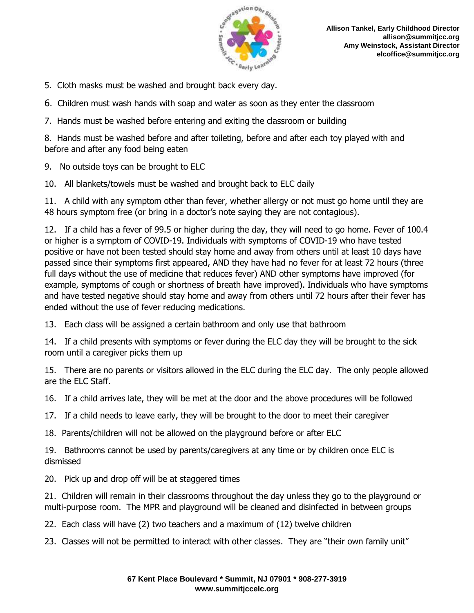

5. Cloth masks must be washed and brought back every day.

6. Children must wash hands with soap and water as soon as they enter the classroom

7. Hands must be washed before entering and exiting the classroom or building

8. Hands must be washed before and after toileting, before and after each toy played with and before and after any food being eaten

9. No outside toys can be brought to ELC

10. All blankets/towels must be washed and brought back to ELC daily

11. A child with any symptom other than fever, whether allergy or not must go home until they are 48 hours symptom free (or bring in a doctor's note saying they are not contagious).

12. If a child has a fever of 99.5 or higher during the day, they will need to go home. Fever of 100.4 or higher is a symptom of COVID-19. Individuals with symptoms of COVID-19 who have tested positive or have not been tested should stay home and away from others until at least 10 days have passed since their symptoms first appeared, AND they have had no fever for at least 72 hours (three full days without the use of medicine that reduces fever) AND other symptoms have improved (for example, symptoms of cough or shortness of breath have improved). Individuals who have symptoms and have tested negative should stay home and away from others until 72 hours after their fever has ended without the use of fever reducing medications.

13. Each class will be assigned a certain bathroom and only use that bathroom

14. If a child presents with symptoms or fever during the ELC day they will be brought to the sick room until a caregiver picks them up

15. There are no parents or visitors allowed in the ELC during the ELC day. The only people allowed are the ELC Staff.

16. If a child arrives late, they will be met at the door and the above procedures will be followed

17. If a child needs to leave early, they will be brought to the door to meet their caregiver

18. Parents/children will not be allowed on the playground before or after ELC

19. Bathrooms cannot be used by parents/caregivers at any time or by children once ELC is dismissed

20. Pick up and drop off will be at staggered times

21. Children will remain in their classrooms throughout the day unless they go to the playground or multi-purpose room. The MPR and playground will be cleaned and disinfected in between groups

22. Each class will have (2) two teachers and a maximum of (12) twelve children

23. Classes will not be permitted to interact with other classes. They are "their own family unit"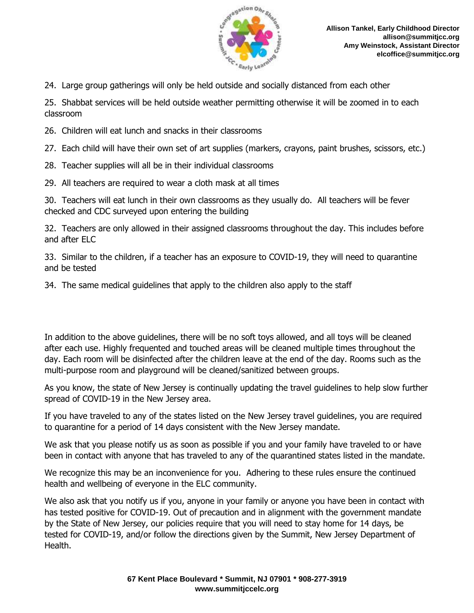

24. Large group gatherings will only be held outside and socially distanced from each other

25. Shabbat services will be held outside weather permitting otherwise it will be zoomed in to each classroom

- 26. Children will eat lunch and snacks in their classrooms
- 27. Each child will have their own set of art supplies (markers, crayons, paint brushes, scissors, etc.)
- 28. Teacher supplies will all be in their individual classrooms
- 29. All teachers are required to wear a cloth mask at all times

30. Teachers will eat lunch in their own classrooms as they usually do. All teachers will be fever checked and CDC surveyed upon entering the building

32. Teachers are only allowed in their assigned classrooms throughout the day. This includes before and after ELC

33. Similar to the children, if a teacher has an exposure to COVID-19, they will need to quarantine and be tested

34. The same medical guidelines that apply to the children also apply to the staff

In addition to the above guidelines, there will be no soft toys allowed, and all toys will be cleaned after each use. Highly frequented and touched areas will be cleaned multiple times throughout the day. Each room will be disinfected after the children leave at the end of the day. Rooms such as the multi-purpose room and playground will be cleaned/sanitized between groups.

As you know, the state of New Jersey is continually updating the travel guidelines to help slow further spread of COVID-19 in the New Jersey area.

If you have traveled to any of the states listed on the New Jersey travel guidelines, you are required to quarantine for a period of 14 days consistent with the New Jersey mandate.

We ask that you please notify us as soon as possible if you and your family have traveled to or have been in contact with anyone that has traveled to any of the quarantined states listed in the mandate.

We recognize this may be an inconvenience for you. Adhering to these rules ensure the continued health and wellbeing of everyone in the ELC community.

We also ask that you notify us if you, anyone in your family or anyone you have been in contact with has tested positive for COVID-19. Out of precaution and in alignment with the government mandate by the State of New Jersey, our policies require that you will need to stay home for 14 days, be tested for COVID-19, and/or follow the directions given by the Summit, New Jersey Department of Health.